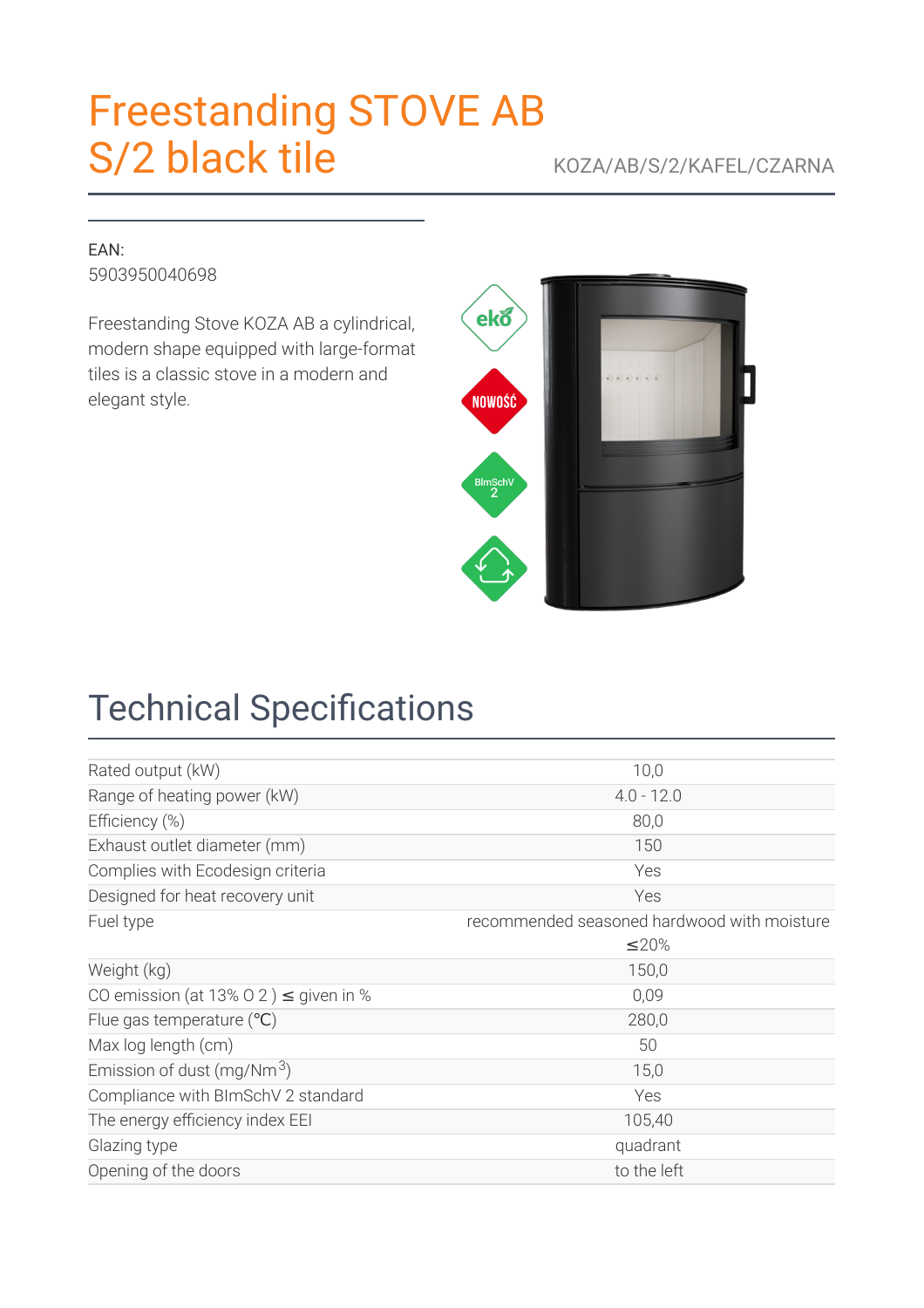# [Freestanding](https://kratki.com/sklep/en/produkt/2945/freestanding-stove-ab-s-2-black-tile) STOVE AB S/2 black tile KOZA/AB/S/2/KAFEL/CZARNA

#### EAN: 5903950040698

Freestanding Stove KOZA AB a cylindrical, modern shape equipped with large-format tiles is a classic stove in a modern and elegant style.



# **Technical Specifications**

| Rated output (kW)                          | 10,0                                        |  |
|--------------------------------------------|---------------------------------------------|--|
| Range of heating power (kW)                | $4.0 - 12.0$                                |  |
| Efficiency (%)                             | 80,0                                        |  |
| Exhaust outlet diameter (mm)               | 150                                         |  |
| Complies with Ecodesign criteria           | Yes                                         |  |
| Designed for heat recovery unit            | Yes                                         |  |
| Fuel type                                  | recommended seasoned hardwood with moisture |  |
|                                            | ≤20%                                        |  |
| Weight (kg)                                | 150,0                                       |  |
| CO emission (at 13% O 2) $\leq$ given in % | 0,09                                        |  |
| Flue gas temperature $(°C)$                | 280,0                                       |  |
| Max log length (cm)                        | 50                                          |  |
| Emission of dust (mg/Nm $3$ )              | 15,0                                        |  |
| Compliance with BImSchV 2 standard         | Yes                                         |  |
| The energy efficiency index EEI            | 105,40                                      |  |
| Glazing type                               | quadrant                                    |  |
| Opening of the doors                       | to the left                                 |  |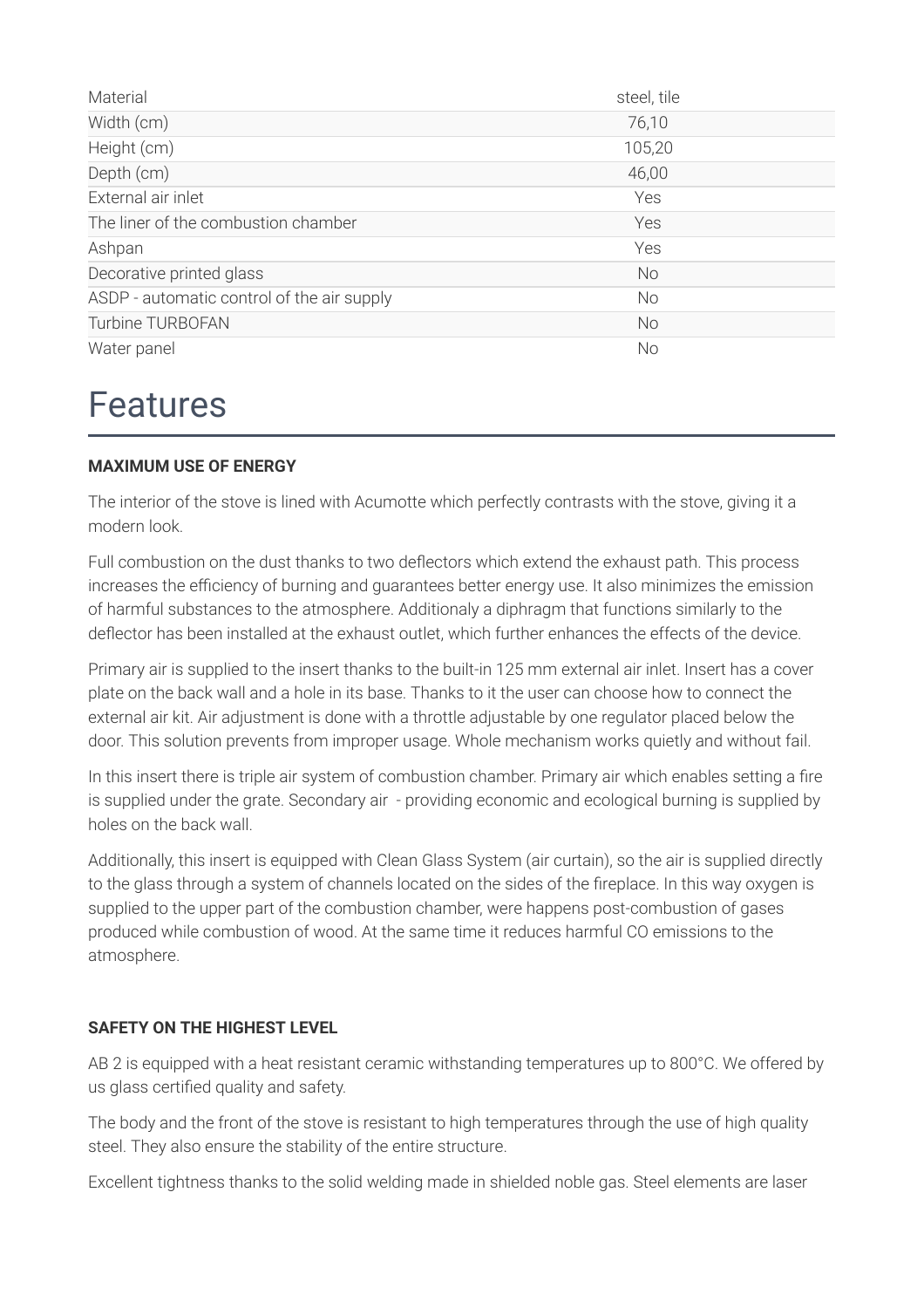| Material                                   | steel, tile |
|--------------------------------------------|-------------|
| Width (cm)                                 | 76,10       |
| Height (cm)                                | 105,20      |
| Depth (cm)                                 | 46,00       |
| External air inlet                         | Yes         |
| The liner of the combustion chamber        | Yes         |
| Ashpan                                     | Yes         |
| Decorative printed glass                   | <b>No</b>   |
| ASDP - automatic control of the air supply | <b>No</b>   |
| <b>Turbine TURBOFAN</b>                    | <b>No</b>   |
| Water panel                                | No          |

### Features

#### **MAXIMUM USE OF ENERGY**

The interior of the stove is lined with Acumotte which perfectly contrasts with the stove, giving it a modern look.

Full combustion on the dust thanks to two deflectors which extend the exhaust path. This process increases the efficiency of burning and guarantees better energy use. It also minimizes the emission of harmful substances to the atmosphere. Additionaly a diphragm that functions similarly to the deflector has been installed at the exhaust outlet, which further enhances the effects of the device.

Primary air is supplied to the insert thanks to the built-in 125 mm external air inlet. Insert has a cover plate on the back wall and a hole in its base. Thanks to it the user can choose how to connect the external air kit. Air adjustment is done with a throttle adjustable by one regulator placed below the door. This solution prevents from improper usage. Whole mechanism works quietly and without fail.

In this insert there is triple air system of combustion chamber. Primary air which enables setting a fire is supplied under the grate. Secondary air - providing economic and ecological burning is supplied by holes on the back wall.

Additionally, this insert is equipped with Clean Glass System (air curtain), so the air is supplied directly to the glass through a system of channels located on the sides of the fireplace. In this way oxygen is supplied to the upper part of the combustion chamber, were happens post-combustion of gases produced while combustion of wood. At the same time it reduces harmful CO emissions to the atmosphere.

#### **SAFETY ON THE HIGHEST LEVEL**

AB 2 is equipped with a heat resistant ceramic withstanding temperatures up to 800°C. We offered by us glass certified quality and safety.

The body and the front of the stove is resistant to high temperatures through the use of high quality steel. They also ensure the stability of the entire structure.

Excellent tightness thanks to the solid welding made in shielded noble gas. Steel elements are laser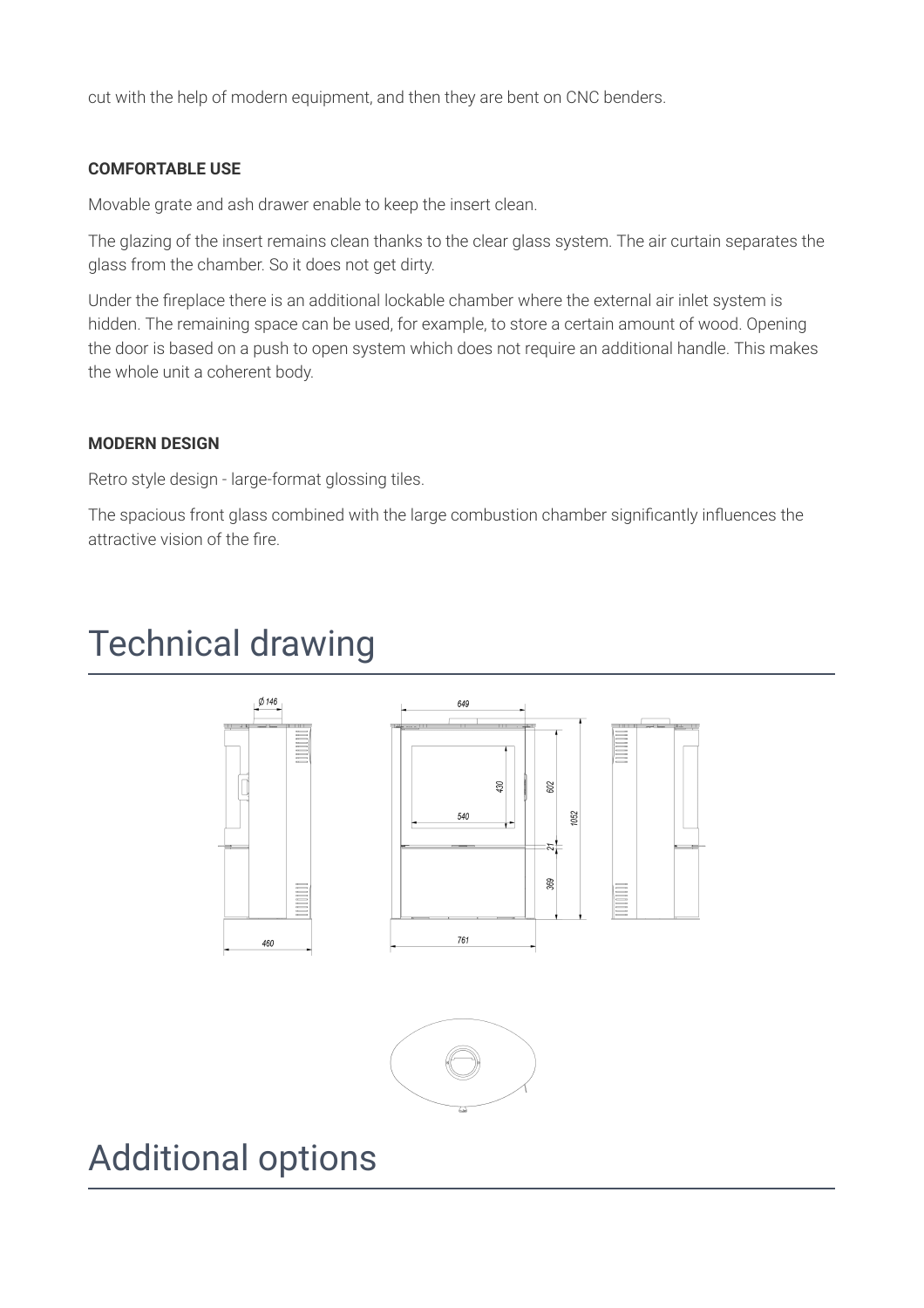cut with the help of modern equipment, and then they are bent on CNC benders.

#### **COMFORTABLE USE**

Movable grate and ash drawer enable to keep the insert clean.

The glazing of the insert remains clean thanks to the clear glass system. The air curtain separates the glass from the chamber. So it does not get dirty.

Under the fireplace there is an additional lockable chamber where the external air inlet system is hidden. The remaining space can be used, for example, to store a certain amount of wood. Opening the door is based on a push to open system which does not require an additional handle. This makes the whole unit a coherent body.

#### **MODERN DESIGN**

Retro style design - large-format glossing tiles.

The spacious front glass combined with the large combustion chamber significantly influences the attractive vision of the fire.

## Technical drawing





## Additional options